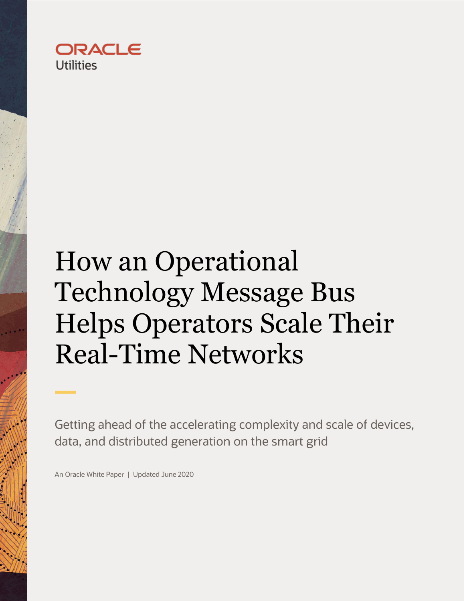

# <span id="page-0-0"></span>How an Operational Technology Message Bus Helps Operators Scale Their Real-Time Networks

Getting ahead of the accelerating complexity and scale of devices, data, and distributed generation on the smart grid

An Oracle White Paper | Updated June 2020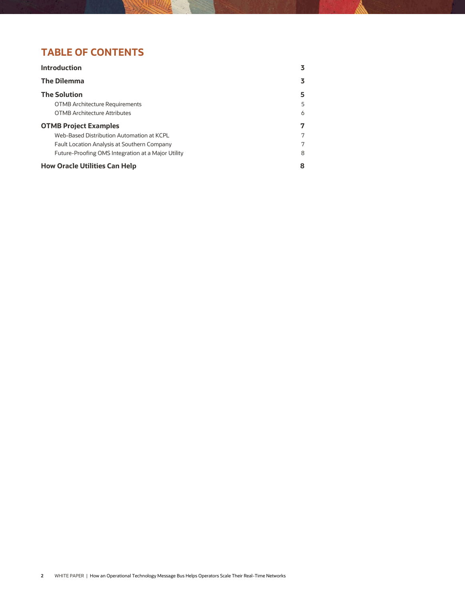# **TABLE OF CONTENTS**

| <b>Introduction</b>                                | 3 |
|----------------------------------------------------|---|
| <b>The Dilemma</b>                                 | 3 |
| <b>The Solution</b>                                | 5 |
| <b>OTMB Architecture Requirements</b>              | 5 |
| <b>OTMB Architecture Attributes</b>                | 6 |
| <b>OTMB Project Examples</b>                       | 7 |
| Web-Based Distribution Automation at KCPL          | 7 |
| Fault Location Analysis at Southern Company        | 7 |
| Future-Proofing OMS Integration at a Major Utility | 8 |
| <b>How Oracle Utilities Can Help</b>               | 8 |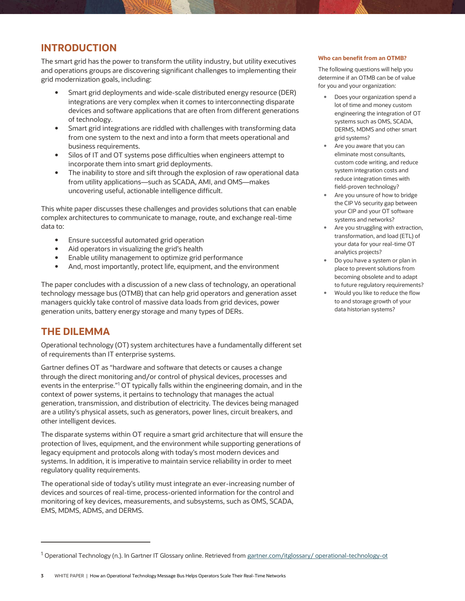# <span id="page-2-0"></span>**INTRODUCTION**

The smart grid has the power to transform the utility industry, but utility executives and operations groups are discovering significant challenges to implementing their grid modernization goals, including:

- Smart grid deployments and wide-scale distributed energy resource (DER) integrations are very complex when it comes to interconnecting disparate devices and software applications that are often from different generations of technology.
- Smart grid integrations are riddled with challenges with transforming data from one system to the next and into a form that meets operational and business requirements.
- Silos of IT and OT systems pose difficulties when engineers attempt to incorporate them into smart grid deployments.
- The inability to store and sift through the explosion of raw operational data from utility applications—such as SCADA, AMI, and OMS—makes uncovering useful, actionable intelligence difficult.

This white paper discusses these challenges and provides solutions that can enable complex architectures to communicate to manage, route, and exchange real-time data to:

- **Ensure successful automated grid operation**
- Aid operators in visualizing the grid's health
- Enable utility management to optimize grid performance
- And, most importantly, protect life, equipment, and the environment

The paper concludes with a discussion of a new class of technology, an operational technology message bus (OTMB) that can help grid operators and generation asset managers quickly take control of massive data loads from grid devices, power generation units, battery energy storage and many types of DERs.

# <span id="page-2-1"></span>**THE DILEMMA**

j

Operational technology (OT) system architectures have a fundamentally different set of requirements than IT enterprise systems.

Gartner defines OT as "hardware and software that detects or causes a change through the direct monitoring and/or control of physical devices, processes and events in the enterprise."<sup>1</sup> OT typically falls within the engineering domain, and in the context of power systems, it pertains to technology that manages the actual generation, transmission, and distribution of electricity. The devices being managed are a utility's physical assets, such as generators, power lines, circuit breakers, and other intelligent devices.

The disparate systems within OT require a smart grid architecture that will ensure the protection of lives, equipment, and the environment while supporting generations of legacy equipment and protocols along with today's most modern devices and systems. In addition, it is imperative to maintain service reliability in order to meet regulatory quality requirements.

The operational side of today's utility must integrate an ever-increasing number of devices and sources of real-time, process-oriented information for the control and monitoring of key devices, measurements, and subsystems, such as OMS, SCADA, EMS, MDMS, ADMS, and DERMS.

#### **Who can benefit from an OTMB?**

The following questions will help you determine if an OTMB can be of value for you and your organization:

- Does your organization spend a lot of time and money custom engineering the integration of OT systems such as OMS, SCADA, DERMS, MDMS and other smart grid systems?
- Are you aware that you can eliminate most consultants, custom code writing, and reduce system integration costs and reduce integration times with field-proven technology?
- Are you unsure of how to bridge the CIP V6 security gap between your CIP and your OT software systems and networks?
- Are you struggling with extraction, transformation, and load (ETL) of your data for your real-time OT analytics projects?
- Do you have a system or plan in place to prevent solutions from becoming obsolete and to adapt to future regulatory requirements?
- Would you like to reduce the flow to and storage growth of your data historian systems?

<sup>&</sup>lt;sup>1</sup> Operational Technology (n.). In Gartner IT Glossary online. Retrieved from [gartner.com/itglossary/ operational-technology-ot](http://www.gartner.com/itglossary/%20operational-technology-ot)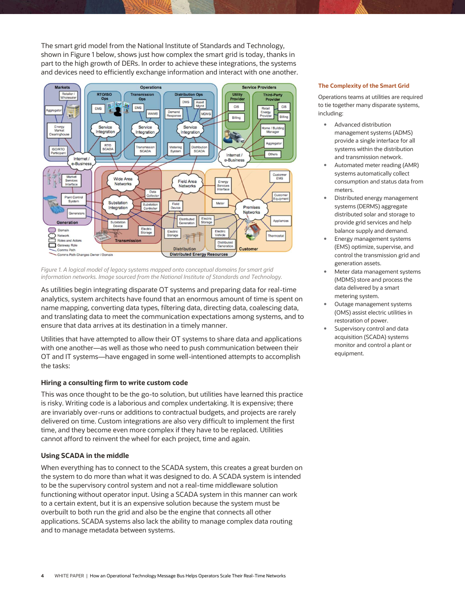The smart grid model from the National Institute of Standards and Technology, shown in Figure 1 below, shows just how complex the smart grid is today, thanks in part to the high growth of DERs. In order to achieve these integrations, the systems and devices need to efficiently exchange information and interact with one another.



*Figure 1. A logical model of legacy systems mapped onto conceptual domains for smart grid information networks. Image sourced from the National Institute of Standards and Technology.* 

As utilities begin integrating disparate OT systems and preparing data for real-time analytics, system architects have found that an enormous amount of time is spent on name mapping, converting data types, filtering data, directing data, coalescing data, and translating data to meet the communication expectations among systems, and to ensure that data arrives at its destination in a timely manner.

Utilities that have attempted to allow their OT systems to share data and applications with one another—as well as those who need to push communication between their OT and IT systems—have engaged in some well-intentioned attempts to accomplish the tasks:

## **Hiring a consulting firm to write custom code**

This was once thought to be the go-to solution, but utilities have learned this practice is risky. Writing code is a laborious and complex undertaking. It is expensive; there are invariably over-runs or additions to contractual budgets, and projects are rarely delivered on time. Custom integrations are also very difficult to implement the first time, and they become even more complex if they have to be replaced. Utilities cannot afford to reinvent the wheel for each project, time and again.

## **Using SCADA in the middle**

When everything has to connect to the SCADA system, this creates a great burden on the system to do more than what it was designed to do. A SCADA system is intended to be the supervisory control system and not a real-time middleware solution functioning without operator input. Using a SCADA system in this manner can work to a certain extent, but it is an expensive solution because the system must be overbuilt to both run the grid and also be the engine that connects all other applications. SCADA systems also lack the ability to manage complex data routing and to manage metadata between systems.

## **The Complexity of the Smart Grid**

Operations teams at utilities are required to tie together many disparate systems, including:

- Advanced distribution management systems (ADMS) provide a single interface for all systems within the distribution and transmission network.
- Automated meter reading (AMR) systems automatically collect consumption and status data from meters.
- Distributed energy management systems (DERMS) aggregate distributed solar and storage to provide grid services and help balance supply and demand.
- Energy management systems (EMS) optimize, supervise, and control the transmission grid and generation assets.
- Meter data management systems (MDMS) store and process the data delivered by a smart metering system.
- Outage management systems (OMS) assist electric utilities in restoration of power.
- Supervisory control and data acquisition (SCADA) systems monitor and control a plant or equipment.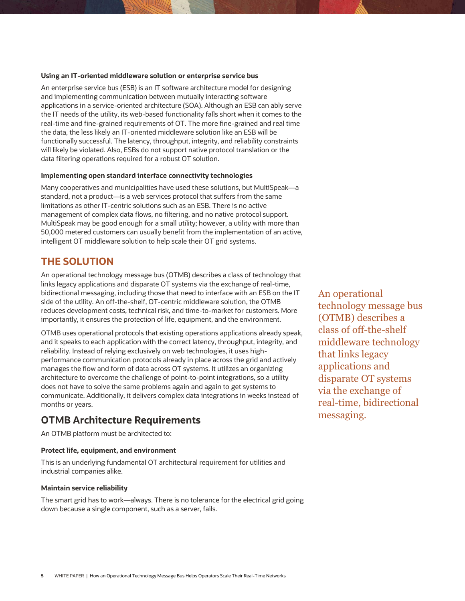## **Using an IT-oriented middleware solution or enterprise service bus**

An enterprise service bus (ESB) is an IT software architecture model for designing and implementing communication between mutually interacting software applications in a service-oriented architecture (SOA). Although an ESB can ably serve the IT needs of the utility, its web-based functionality falls short when it comes to the real-time and fine-grained requirements of OT. The more fine-grained and real time the data, the less likely an IT-oriented middleware solution like an ESB will be functionally successful. The latency, throughput, integrity, and reliability constraints will likely be violated. Also, ESBs do not support native protocol translation or the data filtering operations required for a robust OT solution.

## **Implementing open standard interface connectivity technologies**

Many cooperatives and municipalities have used these solutions, but MultiSpeak—a standard, not a product—is a web services protocol that suffers from the same limitations as other IT-centric solutions such as an ESB. There is no active management of complex data flows, no filtering, and no native protocol support. MultiSpeak may be good enough for a small utility; however, a utility with more than 50,000 metered customers can usually benefit from the implementation of an active, intelligent OT middleware solution to help scale their OT grid systems.

## <span id="page-4-0"></span>**THE SOLUTION**

An operational technology message bus (OTMB) describes a class of technology that links legacy applications and disparate OT systems via the exchange of real-time, bidirectional messaging, including those that need to interface with an ESB on the IT side of the utility. An off-the-shelf, OT-centric middleware solution, the OTMB reduces development costs, technical risk, and time-to-market for customers. More importantly, it ensures the protection of life, equipment, and the environment.

OTMB uses operational protocols that existing operations applications already speak, and it speaks to each application with the correct latency, throughput, integrity, and reliability. Instead of relying exclusively on web technologies, it uses highperformance communication protocols already in place across the grid and actively manages the flow and form of data across OT systems. It utilizes an organizing architecture to overcome the challenge of point-to-point integrations, so a utility does not have to solve the same problems again and again to get systems to communicate. Additionally, it delivers complex data integrations in weeks instead of months or years.

## <span id="page-4-1"></span>**OTMB Architecture Requirements**

An OTMB platform must be architected to:

## **Protect life, equipment, and environment**

This is an underlying fundamental OT architectural requirement for utilities and industrial companies alike.

## **Maintain service reliability**

The smart grid has to work—always. There is no tolerance for the electrical grid going down because a single component, such as a server, fails.

An operational technology message bus (OTMB) describes a class of off-the-shelf middleware technology that links legacy applications and disparate OT systems via the exchange of real-time, bidirectional messaging.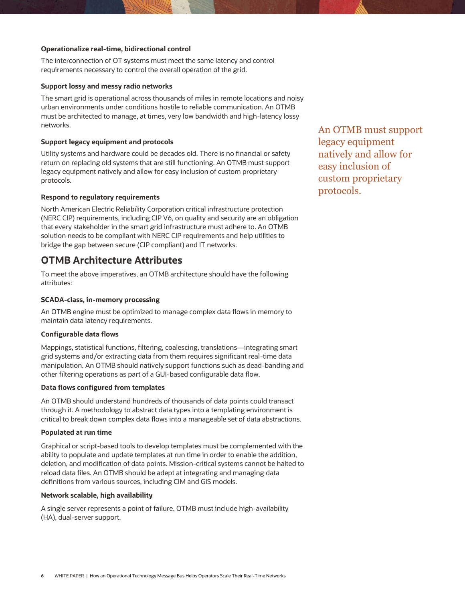## **Operationalize real-time, bidirectional control**

The interconnection of OT systems must meet the same latency and control requirements necessary to control the overall operation of the grid.

## **Support lossy and messy radio networks**

The smart grid is operational across thousands of miles in remote locations and noisy urban environments under conditions hostile to reliable communication. An OTMB must be architected to manage, at times, very low bandwidth and high-latency lossy networks.

## **Support legacy equipment and protocols**

Utility systems and hardware could be decades old. There is no financial or safety return on replacing old systems that are still functioning. An OTMB must support legacy equipment natively and allow for easy inclusion of custom proprietary protocols.

## **Respond to regulatory requirements**

North American Electric Reliability Corporation critical infrastructure protection (NERC CIP) requirements, including CIP V6, on quality and security are an obligation that every stakeholder in the smart grid infrastructure must adhere to. An OTMB solution needs to be compliant with NERC CIP requirements and help utilities to bridge the gap between secure (CIP compliant) and IT networks.

## <span id="page-5-0"></span>**OTMB Architecture Attributes**

To meet the above imperatives, an OTMB architecture should have the following attributes:

## **SCADA-class, in-memory processing**

An OTMB engine must be optimized to manage complex data flows in memory to maintain data latency requirements.

## **Configurable data flows**

Mappings, statistical functions, filtering, coalescing, translations—integrating smart grid systems and/or extracting data from them requires significant real-time data manipulation. An OTMB should natively support functions such as dead-banding and other filtering operations as part of a GUI-based configurable data flow.

## **Data flows configured from templates**

An OTMB should understand hundreds of thousands of data points could transact through it. A methodology to abstract data types into a templating environment is critical to break down complex data flows into a manageable set of data abstractions.

#### **Populated at run time**

Graphical or script-based tools to develop templates must be complemented with the ability to populate and update templates at run time in order to enable the addition, deletion, and modification of data points. Mission-critical systems cannot be halted to reload data files. An OTMB should be adept at integrating and managing data definitions from various sources, including CIM and GIS models.

#### **Network scalable, high availability**

A single server represents a point of failure. OTMB must include high-availability (HA), dual-server support.

An OTMB must support legacy equipment natively and allow for easy inclusion of custom proprietary protocols.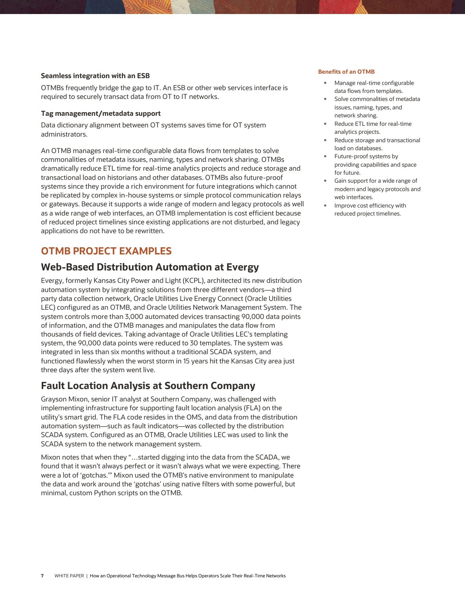## **Seamless integration with an ESB**

OTMBs frequently bridge the gap to IT. An ESB or other web services interface is required to securely transact data from OT to IT networks.

#### **Tag management/metadata support**

Data dictionary alignment between OT systems saves time for OT system administrators.

An OTMB manages real-time configurable data flows from templates to solve commonalities of metadata issues, naming, types and network sharing. OTMBs dramatically reduce ETL time for real-time analytics projects and reduce storage and transactional load on historians and other databases. OTMBs also future-proof systems since they provide a rich environment for future integrations which cannot be replicated by complex in-house systems or simple protocol communication relays or gateways. Because it supports a wide range of modern and legacy protocols as well as a wide range of web interfaces, an OTMB implementation is cost efficient because of reduced project timelines since existing applications are not disturbed, and legacy applications do not have to be rewritten.

## <span id="page-6-0"></span>**OTMB PROJECT EXAMPLES**

## <span id="page-6-1"></span>**Web-Based Distribution Automation at Evergy**

Evergy, formerly Kansas City Power and Light (KCPL), architected its new distribution automation system by integrating solutions from three different vendors—a third party data collection network, Oracle Utilities Live Energy Connect (Oracle Utilities LEC) configured as an OTMB, and Oracle Utilities Network Management System. The system controls more than 3,000 automated devices transacting 90,000 data points of information, and the OTMB manages and manipulates the data flow from thousands of field devices. Taking advantage of Oracle Utilities LEC's templating system, the 90,000 data points were reduced to 30 templates. The system was integrated in less than six months without a traditional SCADA system, and functioned flawlessly when the worst storm in 15 years hit the Kansas City area just three days after the system went live.

## <span id="page-6-2"></span>**Fault Location Analysis at Southern Company**

Grayson Mixon, senior IT analyst at Southern Company, was challenged with implementing infrastructure for supporting fault location analysis (FLA) on the utility's smart grid. The FLA code resides in the OMS, and data from the distribution automation system—such as fault indicators—was collected by the distribution SCADA system. Configured as an OTMB, Oracle Utilities LEC was used to link the SCADA system to the network management system.

<span id="page-6-3"></span>Mixon notes that when they "…started digging into the data from the SCADA, we found that it wasn't always perfect or it wasn't always what we were expecting. There were a lot of 'gotchas.'" Mixon used the OTMB's native environment to manipulate the data and work around the 'gotchas' using native filters with some powerful, but minimal, custom Python scripts on the OTMB.

#### **Benefits of an OTMB**

- Manage real-time configurable data flows from templates.
- Solve commonalities of metadata issues, naming, types, and network sharing.
- Reduce ETL time for real-time analytics projects.
- Reduce storage and transactional load on databases.
- Future-proof systems by providing capabilities and space for future.
- Gain support for a wide range of modern and legacy protocols and web interfaces.
- Improve cost efficiency with reduced project timelines.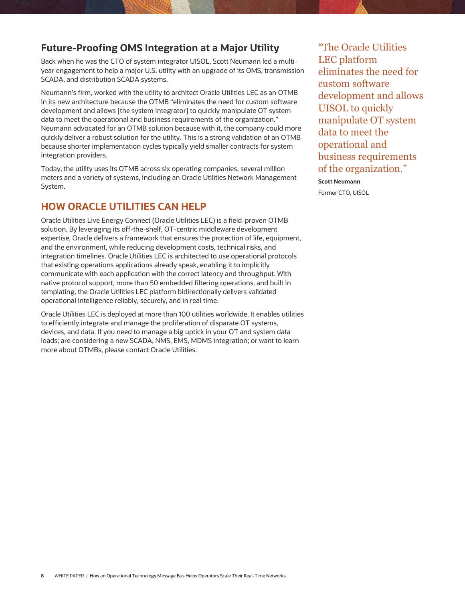# **Future-Proofing OMS Integration at a Major Utility**

Back when he was the CTO of system integrator UISOL, Scott Neumann led a multiyear engagement to help a major U.S. utility with an upgrade of its OMS, transmission SCADA, and distribution SCADA systems.

Neumann's firm, worked with the utility to architect Oracle Utilities LEC as an OTMB in its new architecture because the OTMB "eliminates the need for custom software development and allows [the system integrator] to quickly manipulate OT system data to meet the operational and business requirements of the organization." Neumann advocated for an OTMB solution because with it, the company could more quickly deliver a robust solution for the utility. This is a strong validation of an OTMB because shorter implementation cycles typically yield smaller contracts for system integration providers.

Today, the utility uses its OTMB across six operating companies, several million meters and a variety of systems, including an Oracle Utilities Network Management System.

# <span id="page-7-0"></span>**HOW ORACLE UTILITIES CAN HELP**

Oracle Utilities Live Energy Connect (Oracle Utilities LEC) is a field-proven OTMB solution. By leveraging its off-the-shelf, OT-centric middleware development expertise, Oracle delivers a framework that ensures the protection of life, equipment, and the environment, while reducing development costs, technical risks, and integration timelines. Oracle Utilities LEC is architected to use operational protocols that existing operations applications already speak, enabling it to implicitly communicate with each application with the correct latency and throughput. With native protocol support, more than 50 embedded filtering operations, and built in templating, the Oracle Utilities LEC platform bidirectionally delivers validated operational intelligence reliably, securely, and in real time.

Oracle Utilities LEC is deployed at more than 100 utilities worldwide. It enables utilities to efficiently integrate and manage the proliferation of disparate OT systems, devices, and data. If you need to manage a big uptick in your OT and system data loads; are considering a new SCADA, NMS, EMS, MDMS integration; or want to learn more about OTMBs, please contact Oracle Utilities.

"The Oracle Utilities LEC platform eliminates the need for custom software development and allows UISOL to quickly manipulate OT system data to meet the operational and business requirements of the organization."

**Scott Neumann** Former CTO, UISOL